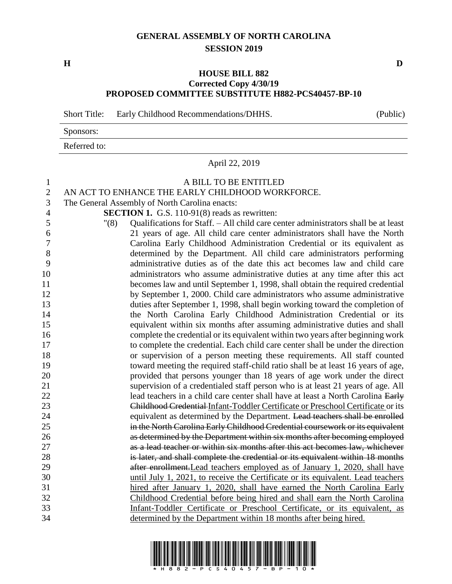## **GENERAL ASSEMBLY OF NORTH CAROLINA SESSION 2019**

**H D**

## **HOUSE BILL 882 Corrected Copy 4/30/19 PROPOSED COMMITTEE SUBSTITUTE H882-PCS40457-BP-10**

Short Title: Early Childhood Recommendations/DHHS. (Public)

| Sponsors:    |  |
|--------------|--|
| Referred to: |  |

April 22, 2019

## A BILL TO BE ENTITLED

AN ACT TO ENHANCE THE EARLY CHILDHOOD WORKFORCE.

The General Assembly of North Carolina enacts:

**SECTION 1.** G.S. 110-91(8) reads as rewritten:

 "(8) Qualifications for Staff. – All child care center administrators shall be at least 21 years of age. All child care center administrators shall have the North Carolina Early Childhood Administration Credential or its equivalent as determined by the Department. All child care administrators performing administrative duties as of the date this act becomes law and child care administrators who assume administrative duties at any time after this act becomes law and until September 1, 1998, shall obtain the required credential by September 1, 2000. Child care administrators who assume administrative duties after September 1, 1998, shall begin working toward the completion of the North Carolina Early Childhood Administration Credential or its equivalent within six months after assuming administrative duties and shall complete the credential or its equivalent within two years after beginning work to complete the credential. Each child care center shall be under the direction or supervision of a person meeting these requirements. All staff counted toward meeting the required staff-child ratio shall be at least 16 years of age, provided that persons younger than 18 years of age work under the direct supervision of a credentialed staff person who is at least 21 years of age. All 22 lead teachers in a child care center shall have at least a North Carolina Early Childhood Credential Infant-Toddler Certificate or Preschool Certificate or its equivalent as determined by the Department. Lead teachers shall be enrolled in the North Carolina Early Childhood Credential coursework or its equivalent as determined by the Department within six months after becoming employed as a lead teacher or within six months after this act becomes law, whichever is later, and shall complete the credential or its equivalent within 18 months after enrollment.Lead teachers employed as of January 1, 2020, shall have until July 1, 2021, to receive the Certificate or its equivalent. Lead teachers hired after January 1, 2020, shall have earned the North Carolina Early Childhood Credential before being hired and shall earn the North Carolina Infant-Toddler Certificate or Preschool Certificate, or its equivalent, as determined by the Department within 18 months after being hired.

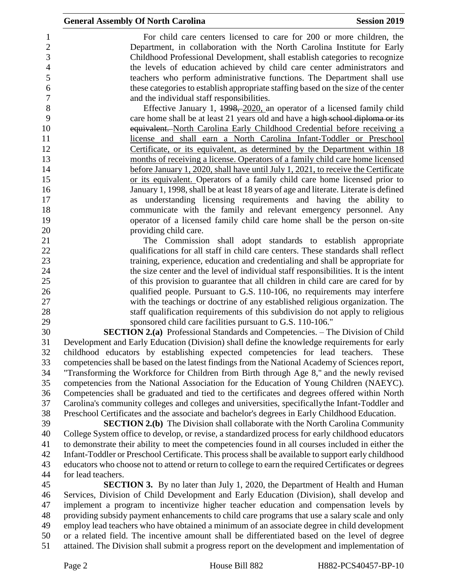For child care centers licensed to care for 200 or more children, the Department, in collaboration with the North Carolina Institute for Early Childhood Professional Development, shall establish categories to recognize the levels of education achieved by child care center administrators and teachers who perform administrative functions. The Department shall use these categories to establish appropriate staffing based on the size of the center and the individual staff responsibilities.

8 Effective January 1, 1998, 2020, an operator of a licensed family child care home shall be at least 21 years old and have a high school diploma or its 10 equivalent. North Carolina Early Childhood Credential before receiving a license and shall earn a North Carolina Infant-Toddler or Preschool Certificate, or its equivalent, as determined by the Department within 18 months of receiving a license. Operators of a family child care home licensed before January 1, 2020, shall have until July 1, 2021, to receive the Certificate or its equivalent. Operators of a family child care home licensed prior to January 1, 1998, shall be at least 18 years of age and literate. Literate is defined as understanding licensing requirements and having the ability to communicate with the family and relevant emergency personnel. Any operator of a licensed family child care home shall be the person on-site providing child care.

 The Commission shall adopt standards to establish appropriate qualifications for all staff in child care centers. These standards shall reflect training, experience, education and credentialing and shall be appropriate for the size center and the level of individual staff responsibilities. It is the intent of this provision to guarantee that all children in child care are cared for by qualified people. Pursuant to G.S. 110-106, no requirements may interfere with the teachings or doctrine of any established religious organization. The staff qualification requirements of this subdivision do not apply to religious sponsored child care facilities pursuant to G.S. 110-106."

 **SECTION 2.(a)** Professional Standards and Competencies. – The Division of Child Development and Early Education (Division) shall define the knowledge requirements for early childhood educators by establishing expected competencies for lead teachers. These competencies shall be based on the latest findings from the National Academy of Sciences report, "Transforming the Workforce for Children from Birth through Age 8," and the newly revised competencies from the National Association for the Education of Young Children (NAEYC). Competencies shall be graduated and tied to the certificates and degrees offered within North Carolina's community colleges and colleges and universities, specificallythe Infant-Toddler and Preschool Certificates and the associate and bachelor's degrees in Early Childhood Education.

 **SECTION 2.(b)** The Division shall collaborate with the North Carolina Community College System office to develop, or revise, a standardized process for early childhood educators to demonstrate their ability to meet the competencies found in all courses included in either the Infant-Toddler or Preschool Certificate. This process shall be available to support early childhood educators who choose not to attend or return to college to earn the required Certificates or degrees for lead teachers.

 **SECTION 3.** By no later than July 1, 2020, the Department of Health and Human Services, Division of Child Development and Early Education (Division), shall develop and implement a program to incentivize higher teacher education and compensation levels by providing subsidy payment enhancements to child care programs that use a salary scale and only employ lead teachers who have obtained a minimum of an associate degree in child development or a related field. The incentive amount shall be differentiated based on the level of degree attained. The Division shall submit a progress report on the development and implementation of